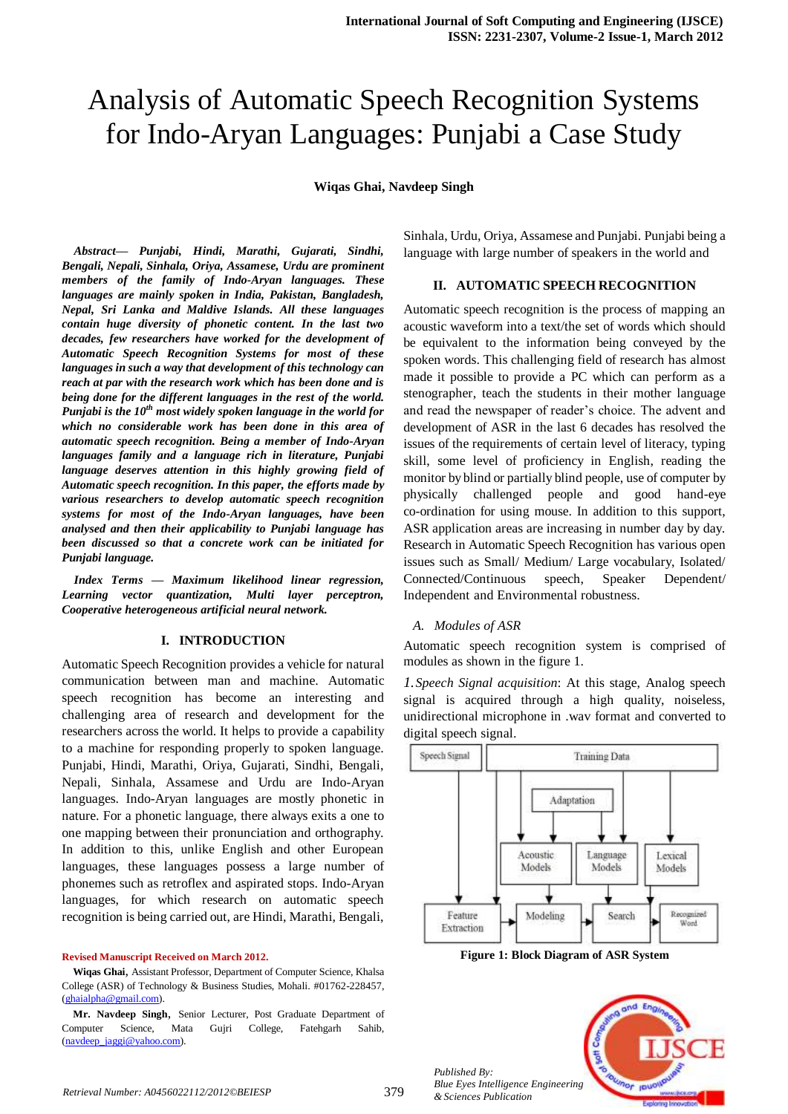# Analysis of Automatic Speech Recognition Systems for Indo-Aryan Languages: Punjabi a Case Study

**Wiqas Ghai, Navdeep Singh** 

*Abstract— Punjabi, Hindi, Marathi, Gujarati, Sindhi, Bengali, Nepali, Sinhala, Oriya, Assamese, Urdu are prominent members of the family of Indo-Aryan languages. These languages are mainly spoken in India, Pakistan, Bangladesh, Nepal, Sri Lanka and Maldive Islands. All these languages contain huge diversity of phonetic content. In the last two decades, few researchers have worked for the development of Automatic Speech Recognition Systems for most of these languages in such a way that development of this technology can reach at par with the research work which has been done and is being done for the different languages in the rest of the world. Punjabi is the 10th most widely spoken language in the world for which no considerable work has been done in this area of automatic speech recognition. Being a member of Indo-Aryan languages family and a language rich in literature, Punjabi language deserves attention in this highly growing field of Automatic speech recognition. In this paper, the efforts made by various researchers to develop automatic speech recognition systems for most of the Indo-Aryan languages, have been analysed and then their applicability to Punjabi language has been discussed so that a concrete work can be initiated for Punjabi language.*

*Index Terms — Maximum likelihood linear regression, Learning vector quantization, Multi layer perceptron, Cooperative heterogeneous artificial neural network.*

#### **I. INTRODUCTION**

Automatic Speech Recognition provides a vehicle for natural communication between man and machine. Automatic speech recognition has become an interesting and challenging area of research and development for the researchers across the world. It helps to provide a capability to a machine for responding properly to spoken language. Punjabi, Hindi, Marathi, Oriya, Gujarati, Sindhi, Bengali, Nepali, Sinhala, Assamese and Urdu are Indo-Aryan languages. Indo-Aryan languages are mostly phonetic in nature. For a phonetic language, there always exits a one to one mapping between their pronunciation and orthography. In addition to this, unlike English and other European languages, these languages possess a large number of phonemes such as retroflex and aspirated stops. Indo-Aryan languages, for which research on automatic speech recognition is being carried out, are Hindi, Marathi, Bengali,

#### **Revised Manuscript Received on March 2012.**

**Wiqas Ghai**, Assistant Professor, Department of Computer Science, Khalsa College (ASR) of Technology & Business Studies, Mohali. #01762-228457, [\(ghaialpha@gmail.com\)](mailto:ghaialpha@gmail.com).

**Mr. Navdeep Singh**, Senior Lecturer, Post Graduate Department of Computer Science, Mata Gujri College, Fatehgarh Sahib, [\(navdeep\\_jaggi@yahoo.com\)](mailto:navdeep_jaggi@yahoo.com).

Sinhala, Urdu, Oriya, Assamese and Punjabi. Punjabi being a language with large number of speakers in the world and

## **II. AUTOMATIC SPEECH RECOGNITION**

Automatic speech recognition is the process of mapping an acoustic waveform into a text/the set of words which should be equivalent to the information being conveyed by the spoken words. This challenging field of research has almost made it possible to provide a PC which can perform as a stenographer, teach the students in their mother language and read the newspaper of reader's choice. The advent and development of ASR in the last 6 decades has resolved the issues of the requirements of certain level of literacy, typing skill, some level of proficiency in English, reading the monitor by blind or partially blind people, use of computer by physically challenged people and good hand-eye co-ordination for using mouse. In addition to this support, ASR application areas are increasing in number day by day. Research in Automatic Speech Recognition has various open issues such as Small/ Medium/ Large vocabulary, Isolated/ Connected/Continuous speech, Speaker Dependent/ Independent and Environmental robustness.

#### *A. Modules of ASR*

Automatic speech recognition system is comprised of modules as shown in the figure 1.

*1.Speech Signal acquisition*: At this stage, Analog speech signal is acquired through a high quality, noiseless, unidirectional microphone in .wav format and converted to digital speech signal.



**Figure 1: Block Diagram of ASR System**

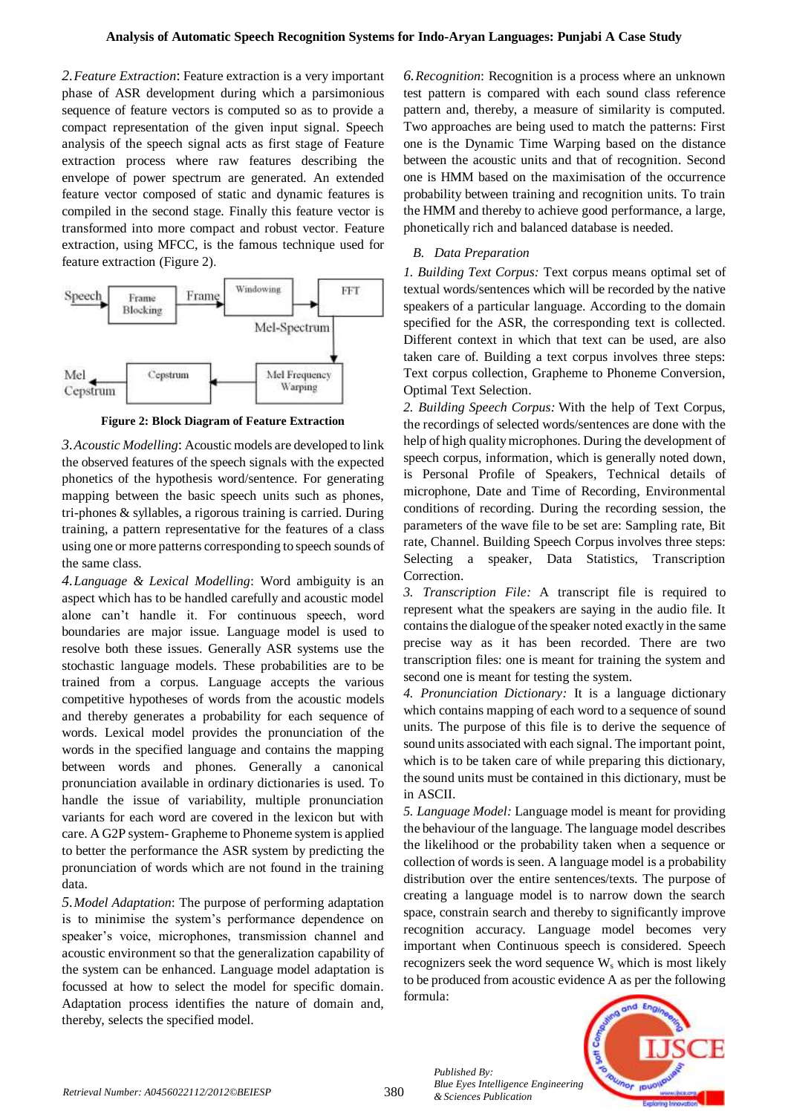*2.Feature Extraction*: Feature extraction is a very important phase of ASR development during which a parsimonious sequence of feature vectors is computed so as to provide a compact representation of the given input signal. Speech analysis of the speech signal acts as first stage of Feature extraction process where raw features describing the envelope of power spectrum are generated. An extended feature vector composed of static and dynamic features is compiled in the second stage. Finally this feature vector is transformed into more compact and robust vector*.* Feature extraction, using MFCC, is the famous technique used for feature extraction (Figure 2).



**Figure 2: Block Diagram of Feature Extraction**

*3.Acoustic Modelling*: Acoustic models are developed to link the observed features of the speech signals with the expected phonetics of the hypothesis word/sentence. For generating mapping between the basic speech units such as phones, tri-phones & syllables, a rigorous training is carried. During training, a pattern representative for the features of a class using one or more patterns corresponding to speech sounds of the same class.

*4.Language & Lexical Modelling*: Word ambiguity is an aspect which has to be handled carefully and acoustic model alone can't handle it. For continuous speech, word boundaries are major issue. Language model is used to resolve both these issues. Generally ASR systems use the stochastic language models. These probabilities are to be trained from a corpus. Language accepts the various competitive hypotheses of words from the acoustic models and thereby generates a probability for each sequence of words. Lexical model provides the pronunciation of the words in the specified language and contains the mapping between words and phones. Generally a canonical pronunciation available in ordinary dictionaries is used. To handle the issue of variability, multiple pronunciation variants for each word are covered in the lexicon but with care. A G2P system- Grapheme to Phoneme system is applied to better the performance the ASR system by predicting the pronunciation of words which are not found in the training data.

*5.Model Adaptation*: The purpose of performing adaptation is to minimise the system's performance dependence on speaker's voice, microphones, transmission channel and acoustic environment so that the generalization capability of the system can be enhanced. Language model adaptation is focussed at how to select the model for specific domain. Adaptation process identifies the nature of domain and, thereby, selects the specified model.

*6.Recognition*: Recognition is a process where an unknown test pattern is compared with each sound class reference pattern and, thereby, a measure of similarity is computed. Two approaches are being used to match the patterns: First one is the Dynamic Time Warping based on the distance between the acoustic units and that of recognition. Second one is HMM based on the maximisation of the occurrence probability between training and recognition units. To train the HMM and thereby to achieve good performance, a large, phonetically rich and balanced database is needed.

# *B. Data Preparation*

*1. Building Text Corpus:* Text corpus means optimal set of textual words/sentences which will be recorded by the native speakers of a particular language. According to the domain specified for the ASR, the corresponding text is collected. Different context in which that text can be used, are also taken care of. Building a text corpus involves three steps: Text corpus collection, Grapheme to Phoneme Conversion, Optimal Text Selection.

*2. Building Speech Corpus:* With the help of Text Corpus, the recordings of selected words/sentences are done with the help of high quality microphones. During the development of speech corpus, information, which is generally noted down, is Personal Profile of Speakers, Technical details of microphone, Date and Time of Recording, Environmental conditions of recording. During the recording session, the parameters of the wave file to be set are: Sampling rate, Bit rate, Channel. Building Speech Corpus involves three steps: Selecting a speaker, Data Statistics, Transcription Correction.

*3. Transcription File:* A transcript file is required to represent what the speakers are saying in the audio file. It contains the dialogue of the speaker noted exactly in the same precise way as it has been recorded. There are two transcription files: one is meant for training the system and second one is meant for testing the system.

*4. Pronunciation Dictionary:* It is a language dictionary which contains mapping of each word to a sequence of sound units. The purpose of this file is to derive the sequence of sound units associated with each signal. The important point, which is to be taken care of while preparing this dictionary, the sound units must be contained in this dictionary, must be in ASCII.

*5. Language Model:* Language model is meant for providing the behaviour of the language. The language model describes the likelihood or the probability taken when a sequence or collection of words is seen. A language model is a probability distribution over the entire sentences/texts. The purpose of creating a language model is to narrow down the search space, constrain search and thereby to significantly improve recognition accuracy. Language model becomes very important when Continuous speech is considered. Speech recognizers seek the word sequence  $W_s$  which is most likely to be produced from acoustic evidence A as per the following formula:



*Retrieval Number: A0456022112/2012©BEIESP* 380

*Published By:*

*& Sciences Publication*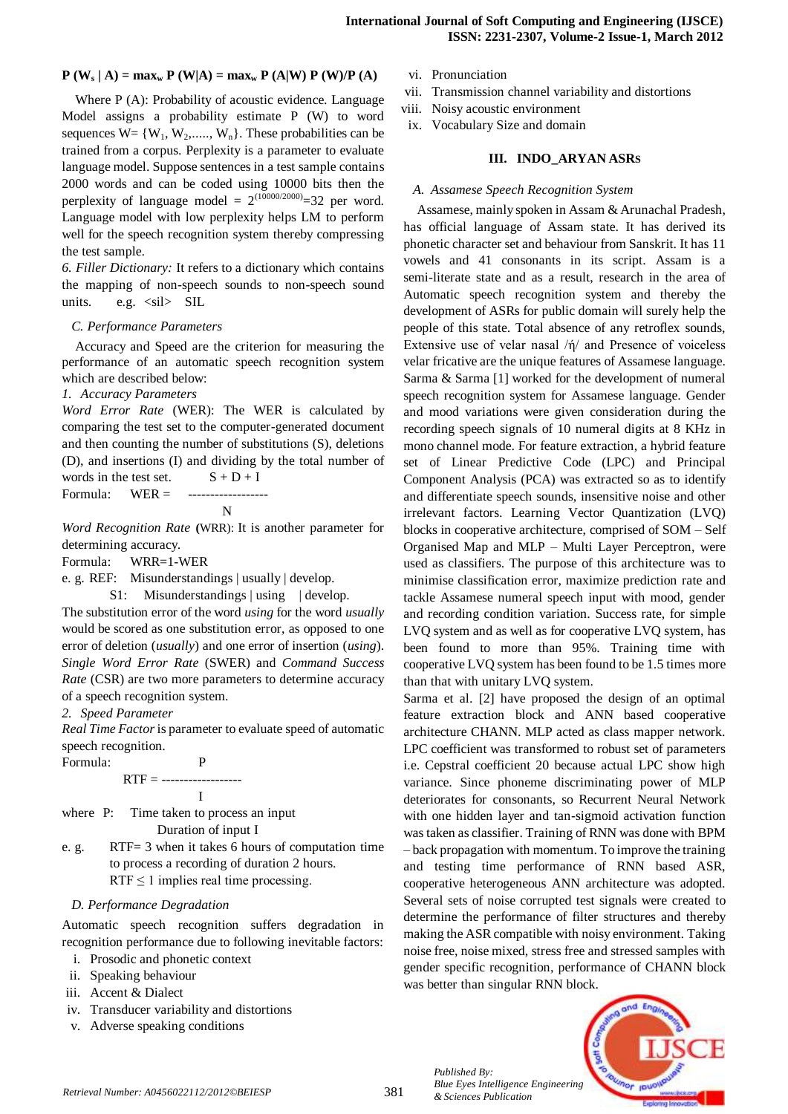## **P** (**W**<sub>**s**</sub> | **A**) =  $\max_{w} P$  (**W**|**A**) =  $\max_{w} P$  (**A**|**W**)  $P$  (**W**)/ $P$  (**A**)

Where P (A): Probability of acoustic evidence. Language Model assigns a probability estimate P (W) to word sequences  $W = \{W_1, W_2, \dots, W_n\}$ . These probabilities can be trained from a corpus. Perplexity is a parameter to evaluate language model. Suppose sentences in a test sample contains 2000 words and can be coded using 10000 bits then the perplexity of language model =  $2^{(10000/2000)}$ =32 per word. Language model with low perplexity helps LM to perform well for the speech recognition system thereby compressing the test sample.

*6. Filler Dictionary:* It refers to a dictionary which contains the mapping of non-speech sounds to non-speech sound units. e.g.  $\langle$ sil $\rangle$  SIL

#### *C. Performance Parameters*

Accuracy and Speed are the criterion for measuring the performance of an automatic speech recognition system which are described below:

#### *1. Accuracy Parameters*

*Word Error Rate* (WER): The WER is calculated by comparing the test set to the computer-generated document and then counting the number of substitutions (S), deletions (D), and insertions (I) and dividing by the total number of words in the test set.  $S + D + I$ 

Formula:  $WER =$ N

*Word Recognition Rate* **(**WRR): It is another parameter for determining accuracy.

Formula: WRR=1-WER

e. g. REF: Misunderstandings | usually | develop.

S1: Misunderstandings | using | develop.

The substitution error of the word *using* for the word *usually*  would be scored as one substitution error, as opposed to one error of deletion (*usually*) and one error of insertion (*using*). *Single Word Error Rate* (SWER) and *Command Success Rate* (CSR) are two more parameters to determine accuracy of a speech recognition system.

#### *2. Speed Parameter*

*Real Time Factor*is parameter to evaluate speed of automatic speech recognition.

Formula: P

RTF = ------------------

I

where P: Time taken to process an input Duration of input I

e. g. RTF= 3 when it takes 6 hours of computation time to process a recording of duration 2 hours. RTF  $\leq$  1 implies real time processing.

## *D. Performance Degradation*

Automatic speech recognition suffers degradation in recognition performance due to following inevitable factors:

- i. Prosodic and phonetic context
- ii. Speaking behaviour
- iii. Accent & Dialect
- iv. Transducer variability and distortions
- v. Adverse speaking conditions
- vi. Pronunciation
- vii. Transmission channel variability and distortions
- viii. Noisy acoustic environment
- ix. Vocabulary Size and domain

#### **III. INDO\_ARYAN ASRS**

## *A. Assamese Speech Recognition System*

Assamese, mainly spoken in Assam & Arunachal Pradesh, has official language of Assam state. It has derived its phonetic character set and behaviour from Sanskrit. It has 11 vowels and 41 consonants in its script. Assam is a semi-literate state and as a result, research in the area of Automatic speech recognition system and thereby the development of ASRs for public domain will surely help the people of this state. Total absence of any retroflex sounds, Extensive use of velar nasal /ή/ and Presence of voiceless velar fricative are the unique features of Assamese language. Sarma & Sarma [1] worked for the development of numeral speech recognition system for Assamese language. Gender and mood variations were given consideration during the recording speech signals of 10 numeral digits at 8 KHz in mono channel mode. For feature extraction, a hybrid feature set of Linear Predictive Code (LPC) and Principal Component Analysis (PCA) was extracted so as to identify and differentiate speech sounds, insensitive noise and other irrelevant factors. Learning Vector Quantization (LVQ) blocks in cooperative architecture, comprised of SOM – Self Organised Map and MLP – Multi Layer Perceptron, were used as classifiers. The purpose of this architecture was to minimise classification error, maximize prediction rate and tackle Assamese numeral speech input with mood, gender and recording condition variation. Success rate, for simple LVQ system and as well as for cooperative LVQ system, has been found to more than 95%. Training time with cooperative LVQ system has been found to be 1.5 times more than that with unitary LVQ system.

Sarma et al. [2] have proposed the design of an optimal feature extraction block and ANN based cooperative architecture CHANN. MLP acted as class mapper network. LPC coefficient was transformed to robust set of parameters i.e. Cepstral coefficient 20 because actual LPC show high variance. Since phoneme discriminating power of MLP deteriorates for consonants, so Recurrent Neural Network with one hidden layer and tan-sigmoid activation function was taken as classifier. Training of RNN was done with BPM – back propagation with momentum. To improve the training and testing time performance of RNN based ASR, cooperative heterogeneous ANN architecture was adopted. Several sets of noise corrupted test signals were created to determine the performance of filter structures and thereby making the ASR compatible with noisy environment. Taking noise free, noise mixed, stress free and stressed samples with gender specific recognition, performance of CHANN block was better than singular RNN block.

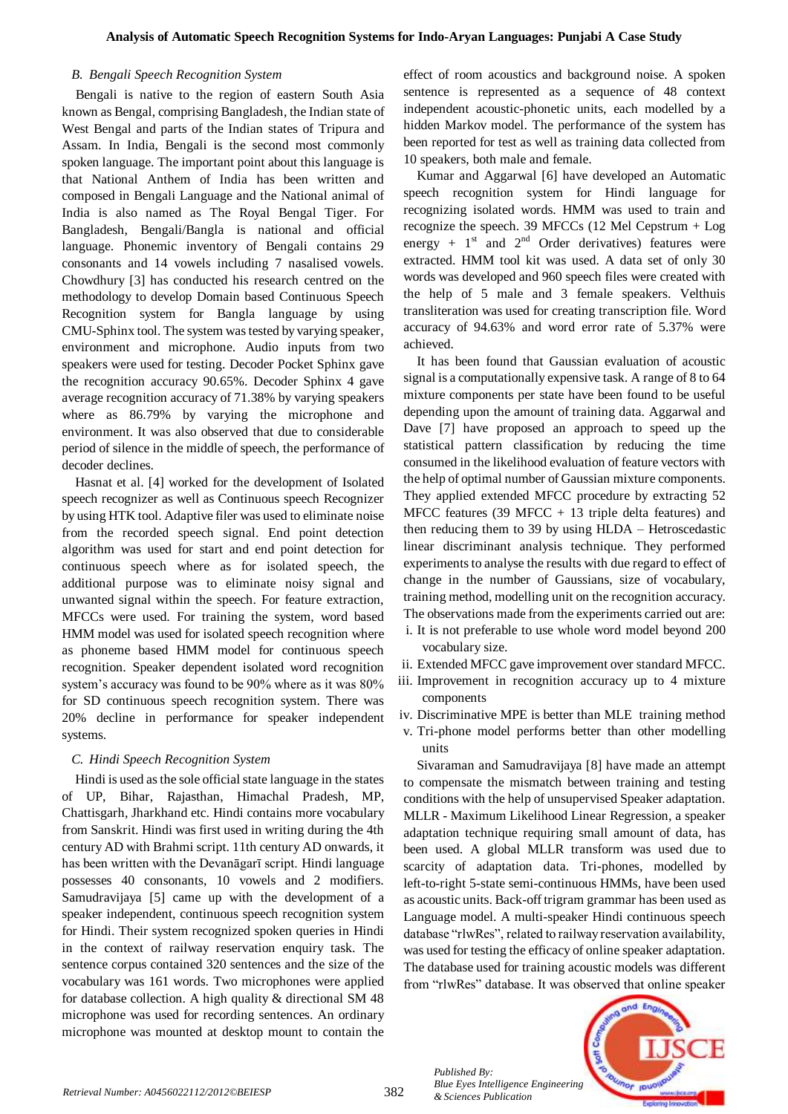#### *B. Bengali Speech Recognition System*

Bengali is native to the region of eastern [South Asia](http://en.wikipedia.org/wiki/South_Asia) known a[s Bengal,](http://en.wikipedia.org/wiki/Bengal) comprisin[g Bangladesh,](http://en.wikipedia.org/wiki/Bangladesh) th[e Indian](http://en.wikipedia.org/wiki/India) state of [West Bengal](http://en.wikipedia.org/wiki/West_Bengal) and parts of the Indian states of [Tripura](http://en.wikipedia.org/wiki/Tripura) and [Assam.](http://en.wikipedia.org/wiki/Assam) In India, Bengali is the second most commonly spoken language. The important point about this language is that National Anthem of India has been written and composed in Bengali Language and the National animal of India is also named as The Royal Bengal Tiger. For Bangladesh, Bengali/Bangla is national and official language. Phonemic inventory of Bengali contains 29 consonants and 14 vowels including 7 nasalised vowels. Chowdhury [3] has conducted his research centred on the methodology to develop Domain based Continuous Speech Recognition system for Bangla language by using CMU-Sphinx tool. The system was tested by varying speaker, environment and microphone. Audio inputs from two speakers were used for testing. Decoder Pocket Sphinx gave the recognition accuracy 90.65%. Decoder Sphinx 4 gave average recognition accuracy of 71.38% by varying speakers where as 86.79% by varying the microphone and environment. It was also observed that due to considerable period of silence in the middle of speech, the performance of decoder declines.

Hasnat et al. [4] worked for the development of Isolated speech recognizer as well as Continuous speech Recognizer by using HTK tool. Adaptive filer was used to eliminate noise from the recorded speech signal. End point detection algorithm was used for start and end point detection for continuous speech where as for isolated speech, the additional purpose was to eliminate noisy signal and unwanted signal within the speech. For feature extraction, MFCCs were used. For training the system, word based HMM model was used for isolated speech recognition where as phoneme based HMM model for continuous speech recognition. Speaker dependent isolated word recognition system's accuracy was found to be 90% where as it was 80% for SD continuous speech recognition system. There was 20% decline in performance for speaker independent systems.

#### *C. Hindi Speech Recognition System*

Hindi is used as the sole official state language in the states of [UP,](http://en.wikipedia.org/wiki/Uttar_Pradesh) [Bihar,](http://en.wikipedia.org/wiki/Bihar) [Rajasthan,](http://en.wikipedia.org/wiki/Rajasthan) [Himachal Pradesh,](http://en.wikipedia.org/wiki/Himachal_Pradesh) [MP,](http://en.wikipedia.org/wiki/Madhya_Pradesh) [Chattisgarh,](http://en.wikipedia.org/wiki/Chattisgarh) [Jharkhand](http://en.wikipedia.org/wiki/Jharkhand) etc. Hindi contains more vocabulary from Sanskrit. Hindi was first used in writing during the 4th century AD with Brahmi script. 11th century AD onwards, it has been written with the Devanāgarī script. Hindi language possesses 40 consonants, 10 vowels and 2 modifiers. Samudravijaya [5] came up with the development of a speaker independent, continuous speech recognition system for Hindi. Their system recognized spoken queries in Hindi in the context of railway reservation enquiry task. The sentence corpus contained 320 sentences and the size of the vocabulary was 161 words. Two microphones were applied for database collection. A high quality & directional SM 48 microphone was used for recording sentences. An ordinary microphone was mounted at desktop mount to contain the effect of room acoustics and background noise. A spoken sentence is represented as a sequence of 48 context independent acoustic-phonetic units, each modelled by a hidden Markov model. The performance of the system has been reported for test as well as training data collected from 10 speakers, both male and female.

Kumar and Aggarwal [6] have developed an Automatic speech recognition system for Hindi language for recognizing isolated words. HMM was used to train and recognize the speech. 39 MFCCs (12 Mel Cepstrum + Log energy +  $1<sup>st</sup>$  and  $2<sup>nd</sup>$  Order derivatives) features were extracted. HMM tool kit was used. A data set of only 30 words was developed and 960 speech files were created with the help of 5 male and 3 female speakers. Velthuis transliteration was used for creating transcription file. Word accuracy of 94.63% and word error rate of 5.37% were achieved.

It has been found that Gaussian evaluation of acoustic signal is a computationally expensive task. A range of 8 to 64 mixture components per state have been found to be useful depending upon the amount of training data. Aggarwal and Dave [7] have proposed an approach to speed up the statistical pattern classification by reducing the time consumed in the likelihood evaluation of feature vectors with the help of optimal number of Gaussian mixture components. They applied extended MFCC procedure by extracting 52 MFCC features (39 MFCC  $+$  13 triple delta features) and then reducing them to 39 by using HLDA – Hetroscedastic linear discriminant analysis technique. They performed experiments to analyse the results with due regard to effect of change in the number of Gaussians, size of vocabulary, training method, modelling unit on the recognition accuracy. The observations made from the experiments carried out are:

- i. It is not preferable to use whole word model beyond 200 vocabulary size.
- ii. Extended MFCC gave improvement over standard MFCC.
- iii. Improvement in recognition accuracy up to 4 mixture components
- iv. Discriminative MPE is better than MLE training method
- v. Tri-phone model performs better than other modelling units

Sivaraman and Samudravijaya [8] have made an attempt to compensate the mismatch between training and testing conditions with the help of unsupervised Speaker adaptation. MLLR - Maximum Likelihood Linear Regression, a speaker adaptation technique requiring small amount of data, has been used. A global MLLR transform was used due to scarcity of adaptation data. Tri-phones, modelled by left-to-right 5-state semi-continuous HMMs, have been used as acoustic units. Back-off trigram grammar has been used as Language model. A multi-speaker Hindi continuous speech database "rlwRes", related to railway reservation availability, was used for testing the efficacy of online speaker adaptation. The database used for training acoustic models was different from "rlwRes" database. It was observed that online speaker



*Published By:*

*& Sciences Publication*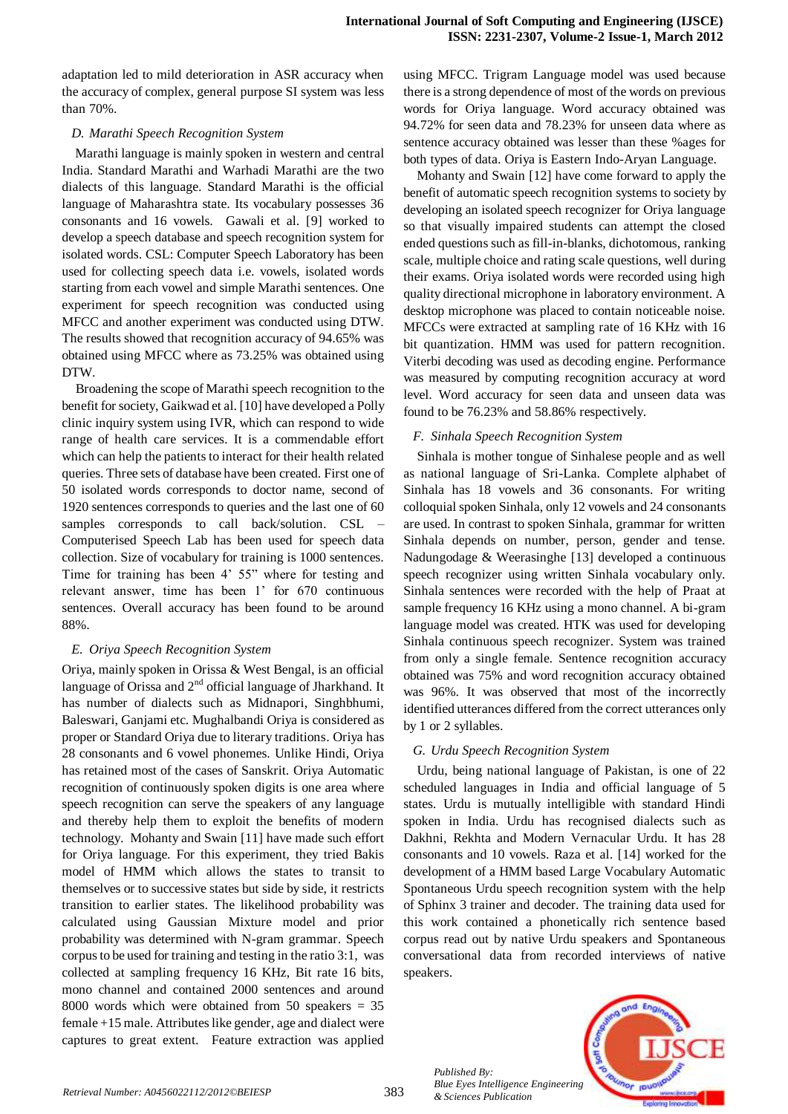adaptation led to mild deterioration in ASR accuracy when the accuracy of complex, general purpose SI system was less than 70%.

## *D. Marathi Speech Recognition System*

Marathi language is mainly spoken in western and central India. Standard Marathi and Warhadi Marathi are the two dialects of this language. Standard Marathi is the official language of Maharashtra state. Its vocabulary possesses 36 consonants and 16 vowels. Gawali et al. [9] worked to develop a speech database and speech recognition system for isolated words. CSL: Computer Speech Laboratory has been used for collecting speech data i.e. vowels, isolated words starting from each vowel and simple Marathi sentences. One experiment for speech recognition was conducted using MFCC and another experiment was conducted using DTW. The results showed that recognition accuracy of 94.65% was obtained using MFCC where as 73.25% was obtained using DTW.

Broadening the scope of Marathi speech recognition to the benefit for society, Gaikwad et al. [10] have developed a Polly clinic inquiry system using IVR, which can respond to wide range of health care services. It is a commendable effort which can help the patients to interact for their health related queries. Three sets of database have been created. First one of 50 isolated words corresponds to doctor name, second of 1920 sentences corresponds to queries and the last one of 60 samples corresponds to call back/solution. CSL – Computerised Speech Lab has been used for speech data collection. Size of vocabulary for training is 1000 sentences. Time for training has been 4' 55" where for testing and relevant answer, time has been 1' for 670 continuous sentences. Overall accuracy has been found to be around 88%.

## *E. Oriya Speech Recognition System*

Oriya, mainly spoken in Orissa & West Bengal, is an official language of Orissa and 2<sup>nd</sup> official language of Jharkhand. It has number of dialects such as Midnapori, Singhbhumi, Baleswari, Ganjami etc. Mughalbandi Oriya is considered as proper or Standard Oriya due to literary traditions. Oriya has 28 consonants and 6 vowel phonemes. Unlike Hindi, Oriya has retained most of the cases of Sanskrit. Oriya Automatic recognition of continuously spoken digits is one area where speech recognition can serve the speakers of any language and thereby help them to exploit the benefits of modern technology. Mohanty and Swain [11] have made such effort for Oriya language. For this experiment, they tried Bakis model of HMM which allows the states to transit to themselves or to successive states but side by side, it restricts transition to earlier states. The likelihood probability was calculated using Gaussian Mixture model and prior probability was determined with N-gram grammar. Speech corpus to be used for training and testing in the ratio 3:1, was collected at sampling frequency 16 KHz, Bit rate 16 bits, mono channel and contained 2000 sentences and around 8000 words which were obtained from 50 speakers  $=$  35 female +15 male. Attributes like gender, age and dialect were captures to great extent. Feature extraction was applied using MFCC. Trigram Language model was used because there is a strong dependence of most of the words on previous words for Oriya language. Word accuracy obtained was 94.72% for seen data and 78.23% for unseen data where as sentence accuracy obtained was lesser than these %ages for both types of data. Oriya is Eastern Indo-Aryan Language.

Mohanty and Swain [12] have come forward to apply the benefit of automatic speech recognition systems to society by developing an isolated speech recognizer for Oriya language so that visually impaired students can attempt the closed ended questions such as fill-in-blanks, dichotomous, ranking scale, multiple choice and rating scale questions, well during their exams. Oriya isolated words were recorded using high quality directional microphone in laboratory environment. A desktop microphone was placed to contain noticeable noise. MFCCs were extracted at sampling rate of 16 KHz with 16 bit quantization. HMM was used for pattern recognition. Viterbi decoding was used as decoding engine. Performance was measured by computing recognition accuracy at word level. Word accuracy for seen data and unseen data was found to be 76.23% and 58.86% respectively.

# *F. Sinhala Speech Recognition System*

Sinhala is mother tongue of Sinhalese people and as well as national language of Sri-Lanka. Complete alphabet of Sinhala has 18 vowels and 36 consonants. For writing colloquial spoken Sinhala, only 12 vowels and 24 consonants are used. In contrast to spoken Sinhala, grammar for written Sinhala depends on number, person, gender and tense. Nadungodage & Weerasinghe [13] developed a continuous speech recognizer using written Sinhala vocabulary only. Sinhala sentences were recorded with the help of Praat at sample frequency 16 KHz using a mono channel. A bi-gram language model was created. HTK was used for developing Sinhala continuous speech recognizer. System was trained from only a single female. Sentence recognition accuracy obtained was 75% and word recognition accuracy obtained was 96%. It was observed that most of the incorrectly identified utterances differed from the correct utterances only by 1 or 2 syllables.

# *G. Urdu Speech Recognition System*

Urdu, being national language of Pakistan, is one of 22 scheduled languages in India and official language of 5 states. Urdu is mutually intelligible with standard Hindi spoken in India. Urdu has recognised dialects such as Dakhni, Rekhta and Modern Vernacular Urdu. It has 28 consonants and 10 vowels. Raza et al. [14] worked for the development of a HMM based Large Vocabulary Automatic Spontaneous Urdu speech recognition system with the help of Sphinx 3 trainer and decoder. The training data used for this work contained a phonetically rich sentence based corpus read out by native Urdu speakers and Spontaneous conversational data from recorded interviews of native speakers.

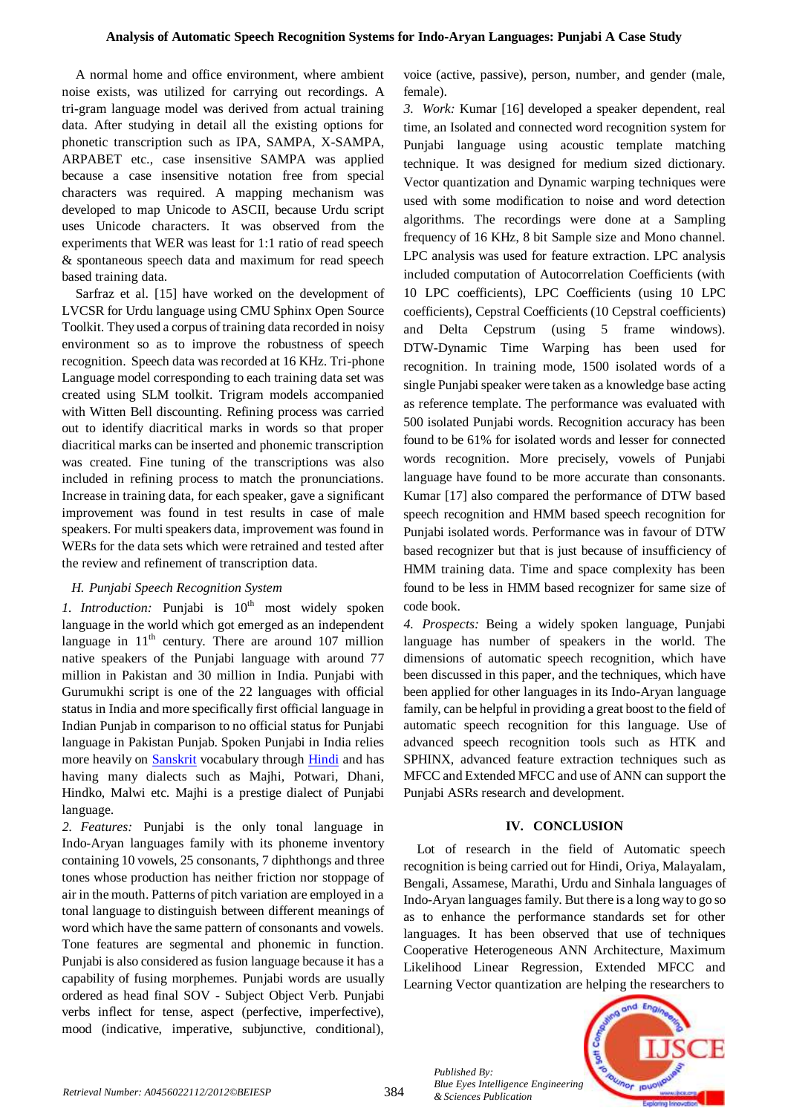A normal home and office environment, where ambient noise exists, was utilized for carrying out recordings. A tri-gram language model was derived from actual training data. After studying in detail all the existing options for phonetic transcription such as IPA, SAMPA, X-SAMPA, ARPABET etc., case insensitive SAMPA was applied because a case insensitive notation free from special characters was required. A mapping mechanism was developed to map Unicode to ASCII, because Urdu script uses Unicode characters. It was observed from the experiments that WER was least for 1:1 ratio of read speech & spontaneous speech data and maximum for read speech based training data.

Sarfraz et al. [15] have worked on the development of LVCSR for Urdu language using CMU Sphinx Open Source Toolkit. They used a corpus of training data recorded in noisy environment so as to improve the robustness of speech recognition. Speech data was recorded at 16 KHz. Tri-phone Language model corresponding to each training data set was created using SLM toolkit. Trigram models accompanied with Witten Bell discounting. Refining process was carried out to identify diacritical marks in words so that proper diacritical marks can be inserted and phonemic transcription was created. Fine tuning of the transcriptions was also included in refining process to match the pronunciations. Increase in training data, for each speaker, gave a significant improvement was found in test results in case of male speakers. For multi speakers data, improvement was found in WERs for the data sets which were retrained and tested after the review and refinement of transcription data.

# *H. Punjabi Speech Recognition System*

*1. Introduction:* Punjabi is 10<sup>th</sup> most widely spoken language in the world which got emerged as an independent language in  $11<sup>th</sup>$  century. There are around 107 million native speakers of the Punjabi language with around 77 million in Pakistan and 30 million in India. Punjabi with Gurumukhi script is one of the 22 languages with official status in India and more specifically first official language in Indian Punjab in comparison to no official status for Punjabi language in Pakistan Punjab. Spoken Punjabi in India relies more heavily on **Sanskrit** vocabulary through **Hindi** and has having many dialects such as Majhi, Potwari, Dhani, Hindko, Malwi etc. Majhi is a prestige dialect of Punjabi language.

*2. Features:* Punjabi is the only tonal language in Indo-Aryan languages family with its phoneme inventory containing 10 vowels, 25 consonants, 7 diphthongs and three tones whose production has neither friction nor stoppage of air in the mouth. Patterns of pitch variation are employed in a tonal language to distinguish between different meanings of word which have the same pattern of consonants and vowels. Tone features are segmental and phonemic in function. Punjabi is also considered as fusion language because it has a capability of fusing morphemes. Punjabi words are usually ordered as head final SOV - Subject Object Verb. Punjabi verbs inflect for tense, aspect (perfective, imperfective), mood (indicative, imperative, subjunctive, conditional), voice (active, passive), person, number, and gender (male, female).

*3. Work:* Kumar [16] developed a speaker dependent, real time, an Isolated and connected word recognition system for Punjabi language using acoustic template matching technique. It was designed for medium sized dictionary. Vector quantization and Dynamic warping techniques were used with some modification to noise and word detection algorithms. The recordings were done at a Sampling frequency of 16 KHz, 8 bit Sample size and Mono channel. LPC analysis was used for feature extraction. LPC analysis included computation of Autocorrelation Coefficients (with 10 LPC coefficients), LPC Coefficients (using 10 LPC coefficients), Cepstral Coefficients (10 Cepstral coefficients) and Delta Cepstrum (using 5 frame windows). DTW-Dynamic Time Warping has been used for recognition. In training mode, 1500 isolated words of a single Punjabi speaker were taken as a knowledge base acting as reference template. The performance was evaluated with 500 isolated Punjabi words. Recognition accuracy has been found to be 61% for isolated words and lesser for connected words recognition. More precisely, vowels of Punjabi language have found to be more accurate than consonants. Kumar [17] also compared the performance of DTW based speech recognition and HMM based speech recognition for Punjabi isolated words. Performance was in favour of DTW based recognizer but that is just because of insufficiency of HMM training data. Time and space complexity has been found to be less in HMM based recognizer for same size of code book.

*4. Prospects:* Being a widely spoken language, Punjabi language has number of speakers in the world. The dimensions of automatic speech recognition, which have been discussed in this paper, and the techniques, which have been applied for other languages in its Indo-Aryan language family, can be helpful in providing a great boost to the field of automatic speech recognition for this language. Use of advanced speech recognition tools such as HTK and SPHINX, advanced feature extraction techniques such as MFCC and Extended MFCC and use of ANN can support the Punjabi ASRs research and development.

# **IV. CONCLUSION**

Lot of research in the field of Automatic speech recognition is being carried out for Hindi, Oriya, Malayalam, Bengali, Assamese, Marathi, Urdu and Sinhala languages of Indo-Aryan languages family. But there is a long way to go so as to enhance the performance standards set for other languages. It has been observed that use of techniques Cooperative Heterogeneous ANN Architecture, Maximum Likelihood Linear Regression, Extended MFCC and Learning Vector quantization are helping the researchers to